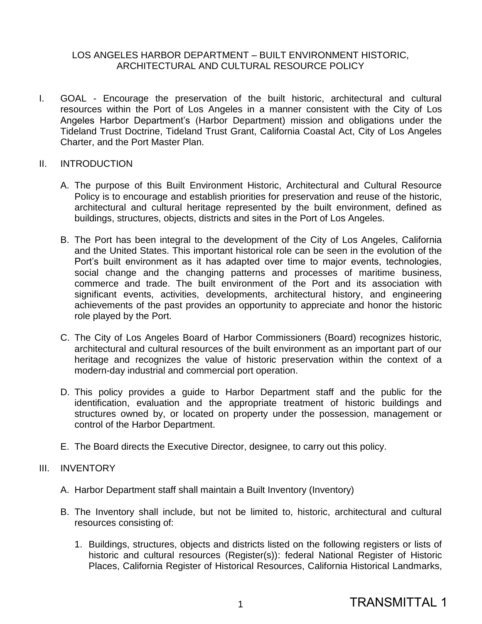## LOS ANGELES HARBOR DEPARTMENT – BUILT ENVIRONMENT HISTORIC, ARCHITECTURAL AND CULTURAL RESOURCE POLICY

I. GOAL - Encourage the preservation of the built historic, architectural and cultural resources within the Port of Los Angeles in a manner consistent with the City of Los Angeles Harbor Department's (Harbor Department) mission and obligations under the Tideland Trust Doctrine, Tideland Trust Grant, California Coastal Act, City of Los Angeles Charter, and the Port Master Plan.

## II. INTRODUCTION

- A. The purpose of this Built Environment Historic, Architectural and Cultural Resource Policy is to encourage and establish priorities for preservation and reuse of the historic, architectural and cultural heritage represented by the built environment, defined as buildings, structures, objects, districts and sites in the Port of Los Angeles.
- B. The Port has been integral to the development of the City of Los Angeles, California and the United States. This important historical role can be seen in the evolution of the Port's built environment as it has adapted over time to major events, technologies, social change and the changing patterns and processes of maritime business, commerce and trade. The built environment of the Port and its association with significant events, activities, developments, architectural history, and engineering achievements of the past provides an opportunity to appreciate and honor the historic role played by the Port.
- C. The City of Los Angeles Board of Harbor Commissioners (Board) recognizes historic, architectural and cultural resources of the built environment as an important part of our heritage and recognizes the value of historic preservation within the context of a modern-day industrial and commercial port operation.
- D. This policy provides a guide to Harbor Department staff and the public for the identification, evaluation and the appropriate treatment of historic buildings and structures owned by, or located on property under the possession, management or control of the Harbor Department.
- E. The Board directs the Executive Director, designee, to carry out this policy.

# III. INVENTORY

- A. Harbor Department staff shall maintain a Built Inventory (Inventory)
- B. The Inventory shall include, but not be limited to, historic, architectural and cultural resources consisting of:
	- 1. Buildings, structures, objects and districts listed on the following registers or lists of historic and cultural resources (Register(s)): federal National Register of Historic Places, California Register of Historical Resources, California Historical Landmarks,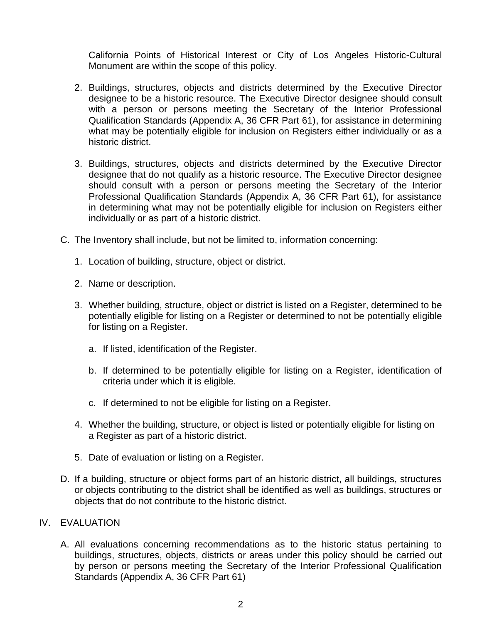California Points of Historical Interest or City of Los Angeles Historic-Cultural Monument are within the scope of this policy.

- 2. Buildings, structures, objects and districts determined by the Executive Director designee to be a historic resource. The Executive Director designee should consult with a person or persons meeting the Secretary of the Interior Professional Qualification Standards (Appendix A, 36 CFR Part 61), for assistance in determining what may be potentially eligible for inclusion on Registers either individually or as a historic district.
- 3. Buildings, structures, objects and districts determined by the Executive Director designee that do not qualify as a historic resource. The Executive Director designee should consult with a person or persons meeting the Secretary of the Interior Professional Qualification Standards (Appendix A, 36 CFR Part 61), for assistance in determining what may not be potentially eligible for inclusion on Registers either individually or as part of a historic district.
- C. The Inventory shall include, but not be limited to, information concerning:
	- 1. Location of building, structure, object or district.
	- 2. Name or description.
	- 3. Whether building, structure, object or district is listed on a Register, determined to be potentially eligible for listing on a Register or determined to not be potentially eligible for listing on a Register.
		- a. If listed, identification of the Register.
		- b. If determined to be potentially eligible for listing on a Register, identification of criteria under which it is eligible.
		- c. If determined to not be eligible for listing on a Register.
	- 4. Whether the building, structure, or object is listed or potentially eligible for listing on a Register as part of a historic district.
	- 5. Date of evaluation or listing on a Register.
- D. If a building, structure or object forms part of an historic district, all buildings, structures or objects contributing to the district shall be identified as well as buildings, structures or objects that do not contribute to the historic district.

## IV. EVALUATION

A. All evaluations concerning recommendations as to the historic status pertaining to buildings, structures, objects, districts or areas under this policy should be carried out by person or persons meeting the Secretary of the Interior Professional Qualification Standards (Appendix A, 36 CFR Part 61)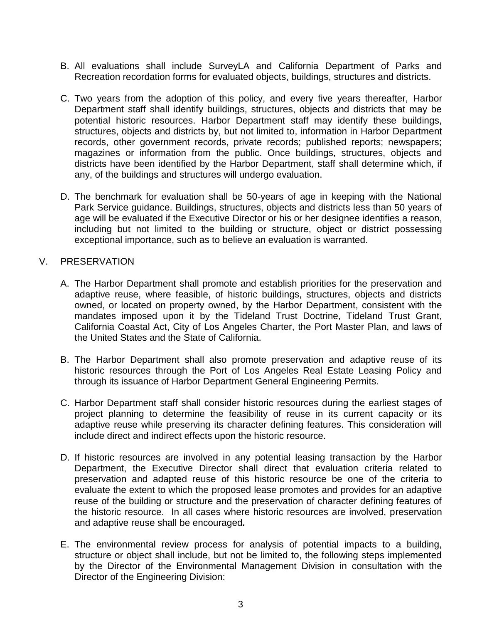- B. All evaluations shall include SurveyLA and California Department of Parks and Recreation recordation forms for evaluated objects, buildings, structures and districts.
- C. Two years from the adoption of this policy, and every five years thereafter, Harbor Department staff shall identify buildings, structures, objects and districts that may be potential historic resources. Harbor Department staff may identify these buildings, structures, objects and districts by, but not limited to, information in Harbor Department records, other government records, private records; published reports; newspapers; magazines or information from the public. Once buildings, structures, objects and districts have been identified by the Harbor Department, staff shall determine which, if any, of the buildings and structures will undergo evaluation.
- D. The benchmark for evaluation shall be 50-years of age in keeping with the National Park Service guidance. Buildings, structures, objects and districts less than 50 years of age will be evaluated if the Executive Director or his or her designee identifies a reason, including but not limited to the building or structure, object or district possessing exceptional importance, such as to believe an evaluation is warranted.

## V. PRESERVATION

- A. The Harbor Department shall promote and establish priorities for the preservation and adaptive reuse, where feasible, of historic buildings, structures, objects and districts owned, or located on property owned, by the Harbor Department, consistent with the mandates imposed upon it by the Tideland Trust Doctrine, Tideland Trust Grant, California Coastal Act, City of Los Angeles Charter, the Port Master Plan, and laws of the United States and the State of California.
- B. The Harbor Department shall also promote preservation and adaptive reuse of its historic resources through the Port of Los Angeles Real Estate Leasing Policy and through its issuance of Harbor Department General Engineering Permits.
- C. Harbor Department staff shall consider historic resources during the earliest stages of project planning to determine the feasibility of reuse in its current capacity or its adaptive reuse while preserving its character defining features. This consideration will include direct and indirect effects upon the historic resource.
- D. If historic resources are involved in any potential leasing transaction by the Harbor Department, the Executive Director shall direct that evaluation criteria related to preservation and adapted reuse of this historic resource be one of the criteria to evaluate the extent to which the proposed lease promotes and provides for an adaptive reuse of the building or structure and the preservation of character defining features of the historic resource. In all cases where historic resources are involved, preservation and adaptive reuse shall be encouraged*.*
- E. The environmental review process for analysis of potential impacts to a building, structure or object shall include, but not be limited to, the following steps implemented by the Director of the Environmental Management Division in consultation with the Director of the Engineering Division: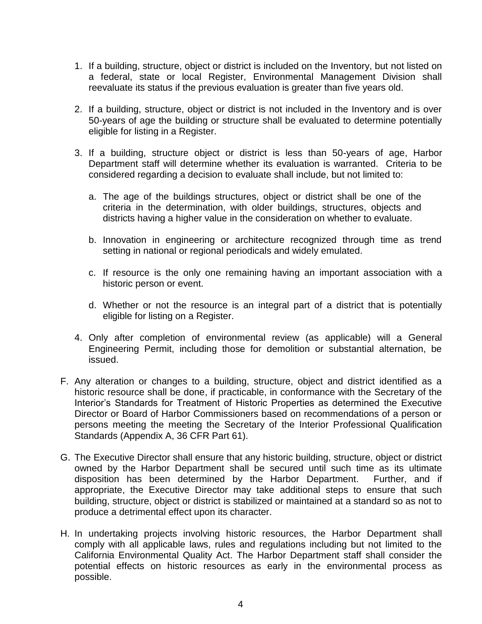- 1. If a building, structure, object or district is included on the Inventory, but not listed on a federal, state or local Register, Environmental Management Division shall reevaluate its status if the previous evaluation is greater than five years old.
- 2. If a building, structure, object or district is not included in the Inventory and is over 50-years of age the building or structure shall be evaluated to determine potentially eligible for listing in a Register.
- 3. If a building, structure object or district is less than 50-years of age, Harbor Department staff will determine whether its evaluation is warranted. Criteria to be considered regarding a decision to evaluate shall include, but not limited to:
	- a. The age of the buildings structures, object or district shall be one of the criteria in the determination, with older buildings, structures, objects and districts having a higher value in the consideration on whether to evaluate.
	- b. Innovation in engineering or architecture recognized through time as trend setting in national or regional periodicals and widely emulated.
	- c. If resource is the only one remaining having an important association with a historic person or event.
	- d. Whether or not the resource is an integral part of a district that is potentially eligible for listing on a Register.
- 4. Only after completion of environmental review (as applicable) will a General Engineering Permit, including those for demolition or substantial alternation, be issued.
- F. Any alteration or changes to a building, structure, object and district identified as a historic resource shall be done, if practicable, in conformance with the Secretary of the Interior's Standards for Treatment of Historic Properties as determined the Executive Director or Board of Harbor Commissioners based on recommendations of a person or persons meeting the meeting the Secretary of the Interior Professional Qualification Standards (Appendix A, 36 CFR Part 61).
- G. The Executive Director shall ensure that any historic building, structure, object or district owned by the Harbor Department shall be secured until such time as its ultimate disposition has been determined by the Harbor Department. Further, and if appropriate, the Executive Director may take additional steps to ensure that such building, structure, object or district is stabilized or maintained at a standard so as not to produce a detrimental effect upon its character.
- H. In undertaking projects involving historic resources, the Harbor Department shall comply with all applicable laws, rules and regulations including but not limited to the California Environmental Quality Act. The Harbor Department staff shall consider the potential effects on historic resources as early in the environmental process as possible.